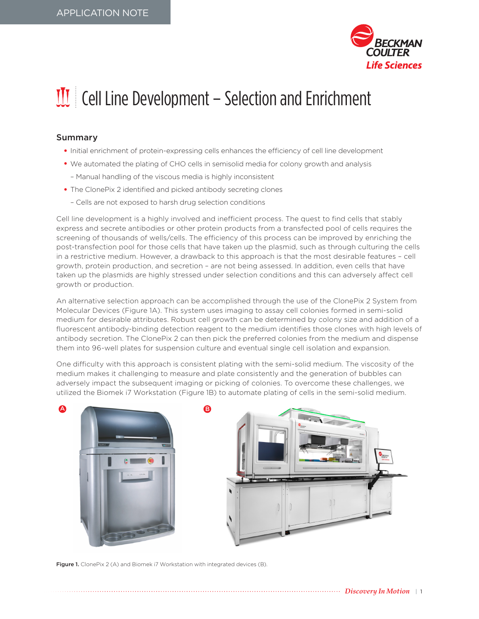

## $\mathbf{U}$  Cell Line Development – Selection and Enrichment

## Summary

- Initial enrichment of protein-expressing cells enhances the efficiency of cell line development
- We automated the plating of CHO cells in semisolid media for colony growth and analysis
	- Manual handling of the viscous media is highly inconsistent
- The ClonePix 2 identified and picked antibody secreting clones
	- Cells are not exposed to harsh drug selection conditions

Cell line development is a highly involved and inefficient process. The quest to find cells that stably express and secrete antibodies or other protein products from a transfected pool of cells requires the screening of thousands of wells/cells. The efficiency of this process can be improved by enriching the post-transfection pool for those cells that have taken up the plasmid, such as through culturing the cells in a restrictive medium. However, a drawback to this approach is that the most desirable features – cell growth, protein production, and secretion – are not being assessed. In addition, even cells that have taken up the plasmids are highly stressed under selection conditions and this can adversely affect cell growth or production.

An alternative selection approach can be accomplished through the use of the ClonePix 2 System from Molecular Devices (Figure 1A). This system uses imaging to assay cell colonies formed in semi-solid medium for desirable attributes. Robust cell growth can be determined by colony size and addition of a fluorescent antibody-binding detection reagent to the medium identifies those clones with high levels of antibody secretion. The ClonePix 2 can then pick the preferred colonies from the medium and dispense them into 96-well plates for suspension culture and eventual single cell isolation and expansion.

One difficulty with this approach is consistent plating with the semi-solid medium. The viscosity of the medium makes it challenging to measure and plate consistently and the generation of bubbles can adversely impact the subsequent imaging or picking of colonies. To overcome these challenges, we utilized the Biomek i7 Workstation (Figure 1B) to automate plating of cells in the semi-solid medium.



Figure 1. ClonePix 2 (A) and Biomek i7 Workstation with integrated devices (B).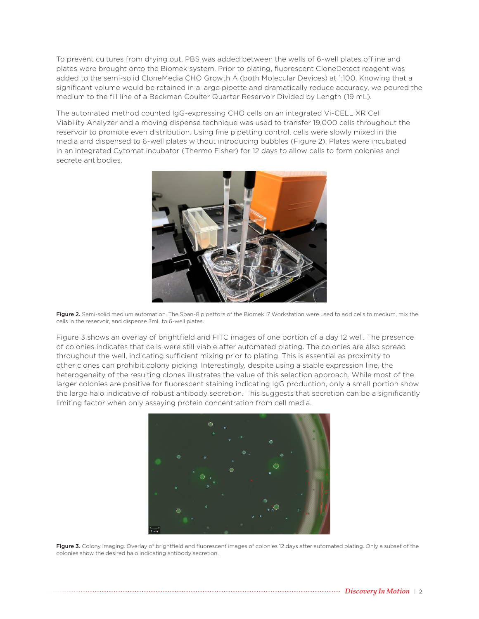To prevent cultures from drying out, PBS was added between the wells of 6-well plates offline and plates were brought onto the Biomek system. Prior to plating, fluorescent CloneDetect reagent was added to the semi-solid CloneMedia CHO Growth A (both Molecular Devices) at 1:100. Knowing that a significant volume would be retained in a large pipette and dramatically reduce accuracy, we poured the medium to the fill line of a Beckman Coulter Quarter Reservoir Divided by Length (19 mL).

The automated method counted IgG-expressing CHO cells on an integrated Vi-CELL XR Cell Viability Analyzer and a moving dispense technique was used to transfer 19,000 cells throughout the reservoir to promote even distribution. Using fine pipetting control, cells were slowly mixed in the media and dispensed to 6-well plates without introducing bubbles (Figure 2). Plates were incubated in an integrated Cytomat incubator (Thermo Fisher) for 12 days to allow cells to form colonies and secrete antibodies.



Figure 2. Semi-solid medium automation. The Span-8 pipettors of the Biomek i7 Workstation were used to add cells to medium, mix the cells in the reservoir, and dispense 3mL to 6-well plates.

Figure 3 shows an overlay of brightfield and FITC images of one portion of a day 12 well. The presence of colonies indicates that cells were still viable after automated plating. The colonies are also spread throughout the well, indicating sufficient mixing prior to plating. This is essential as proximity to other clones can prohibit colony picking. Interestingly, despite using a stable expression line, the heterogeneity of the resulting clones illustrates the value of this selection approach. While most of the larger colonies are positive for fluorescent staining indicating IgG production, only a small portion show the large halo indicative of robust antibody secretion. This suggests that secretion can be a significantly limiting factor when only assaying protein concentration from cell media.



Figure 3. Colony imaging. Overlay of brightfield and fluorescent images of colonies 12 days after automated plating. Only a subset of the colonies show the desired halo indicating antibody secretion.